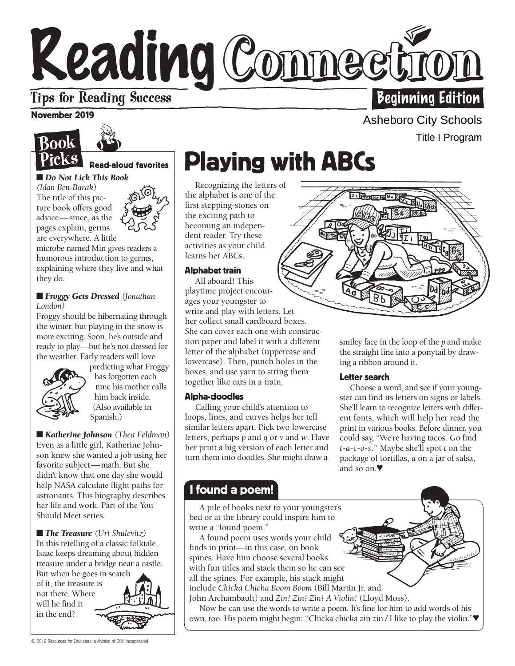# Reading Commecting **Beginning Edition**

# **Tips for Reading Success**

### November 2019



### Read-aloud favorites

■ *Do Not Lick This Book* 

*(Idan Ben-Barak)*  The title of this picture book offers good advice— since, as the pages explain, germs are everywhere. A little

microbe named Min gives readers a humorous introduction to germs, explaining where they live and what they do.

### ■ *Froggy Gets Dressed (Jonathan London)*

Froggy should be hibernating through the winter, but playing in the snow is more exciting. Soon, he's outside and ready to play—but he's not dressed for the weather. Early readers will love



predicting what Froggy has forgotten each time his mother calls him back inside. (Also available in Spanish.)

■ *Katherine Johnson* (*Thea Feldman*) Even as a little girl, Katherine Johnson knew she wanted a job using her favorite subject—math. But she didn't know that one day she would help NASA calculate flight paths for astronauts. This biography describes her life and work. Part of the You Should Meet series.

■ *The Treasure (Uri Shulevitz)* In this retelling of a classic folktale, Isaac keeps dreaming about hidden treasure under a bridge near a castle. But when he goes in search

in the end? not there. Where of it, the treasure is will he find it



the alphabet is one of the first stepping-stones on the exciting path to becoming an independent reader. Try these activities as your child learns her ABCs.

### Alphabet train

**Example 18 and 18 and 18 and 18 and 18 and 18 and 18 and 18 and 18 and 18 and 18 and 18 and 18 and 18 and 18 and 18 and 18 and 18 and 18 and 18 and 18 and 18 and 18 and 18 and 18 and 18 and 18 and 18 and 18 and 18 and 18** All aboard! This playtime project encourages your youngster to write and play with letters. Let her collect small cardboard boxes. She can cover each one with construction paper and label it with a different letter of the alphabet (uppercase and lowercase). Then, punch holes in the boxes, and use yarn to string them together like cars in a train.

### Alpha-doodles

Calling your child's attention to loops, lines, and curves helps her tell similar letters apart. Pick two lowercase letters, perhaps *p* and *q* or *v* and *w*. Have her print a big version of each letter and turn them into doodles. She might draw a

# Title I Program

Asheboro City Schools

smiley face in the loop of the *p* and make the straight line into a ponytail by drawing a ribbon around it.

### Letter search

Choose a word, and see if your youngster can find its letters on signs or labels. She'll learn to recognize letters with different fonts, which will help her read the print in various books. Before dinner, you could say, "We're having tacos. Go find *t*-*a*-*c*-*o*-*s*." Maybe she'll spot *t* on the package of tortillas, *a* on a jar of salsa, and so on.♥

### I found a poem!

w A pile of books next to your youngster's bed or at the library could inspire him to write a "found poem."

A found poem uses words your child finds in print—in this case, on book spines. Have him choose several books with fun titles and stack them so he can see all the spines. For example, his stack might include *Chicka Chicka Boom Boom* (Bill Martin Jr. and John Archambault) and *Zin! Zin! Zin! A Violin!* (Lloyd Moss).

Now he can use the words to write a poem. It's fine for him to add words of his own, too. His poem might begin: "Chicka chicka zin zin / I like to play the violin."♥